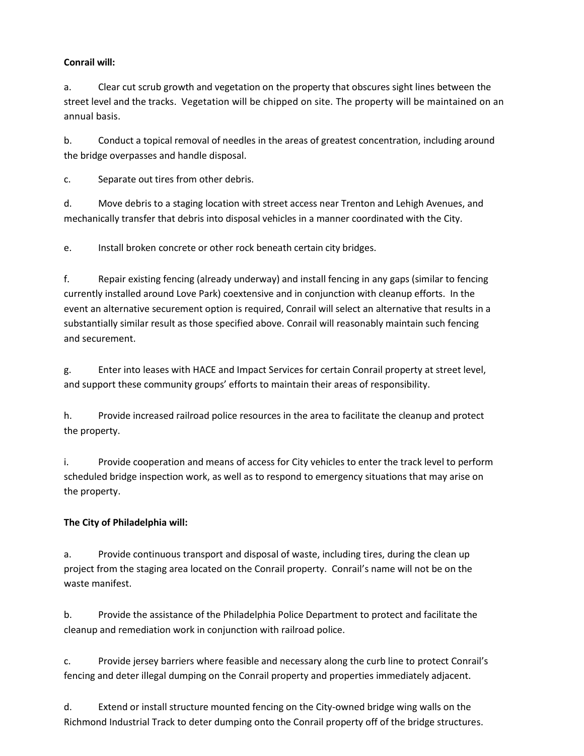## **Conrail will:**

a. Clear cut scrub growth and vegetation on the property that obscures sight lines between the street level and the tracks. Vegetation will be chipped on site. The property will be maintained on an annual basis.

b. Conduct a topical removal of needles in the areas of greatest concentration, including around the bridge overpasses and handle disposal.

c. Separate out tires from other debris.

d. Move debris to a staging location with street access near Trenton and Lehigh Avenues, and mechanically transfer that debris into disposal vehicles in a manner coordinated with the City.

e. Install broken concrete or other rock beneath certain city bridges.

f. Repair existing fencing (already underway) and install fencing in any gaps (similar to fencing currently installed around Love Park) coextensive and in conjunction with cleanup efforts. In the event an alternative securement option is required, Conrail will select an alternative that results in a substantially similar result as those specified above. Conrail will reasonably maintain such fencing and securement.

g. Enter into leases with HACE and Impact Services for certain Conrail property at street level, and support these community groups' efforts to maintain their areas of responsibility.

h. Provide increased railroad police resources in the area to facilitate the cleanup and protect the property.

i. Provide cooperation and means of access for City vehicles to enter the track level to perform scheduled bridge inspection work, as well as to respond to emergency situations that may arise on the property.

## **The City of Philadelphia will:**

a. Provide continuous transport and disposal of waste, including tires, during the clean up project from the staging area located on the Conrail property. Conrail's name will not be on the waste manifest.

b. Provide the assistance of the Philadelphia Police Department to protect and facilitate the cleanup and remediation work in conjunction with railroad police.

c. Provide jersey barriers where feasible and necessary along the curb line to protect Conrail's fencing and deter illegal dumping on the Conrail property and properties immediately adjacent.

d. Extend or install structure mounted fencing on the City-owned bridge wing walls on the Richmond Industrial Track to deter dumping onto the Conrail property off of the bridge structures.